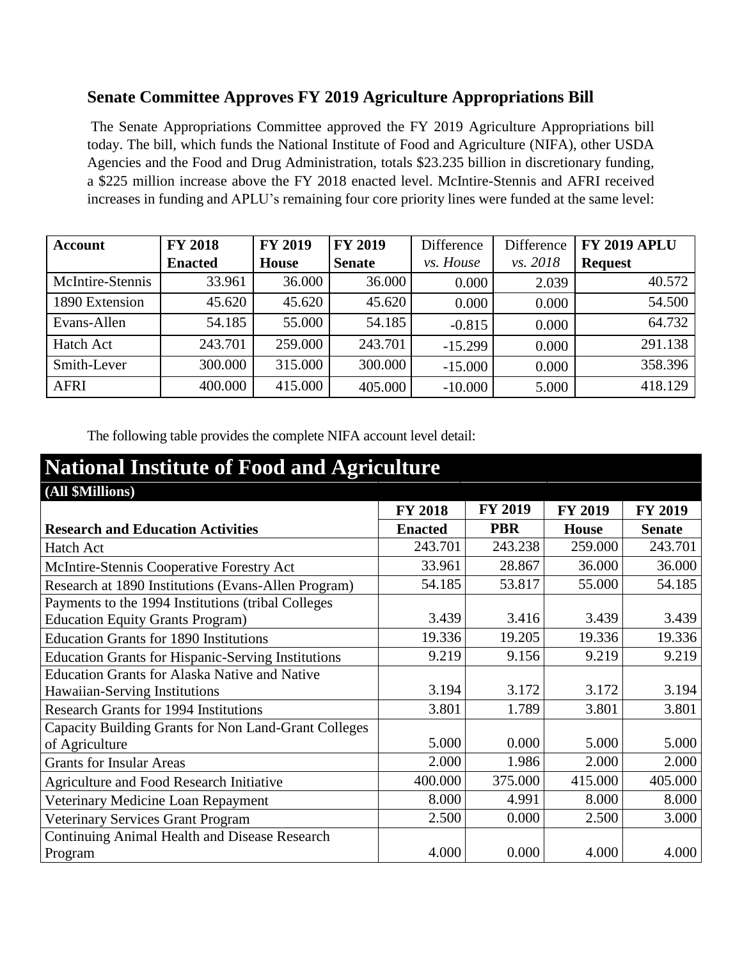## **Senate Committee Approves FY 2019 Agriculture Appropriations Bill**

The Senate Appropriations Committee approved the FY 2019 Agriculture Appropriations bill today. The bill, which funds the National Institute of Food and Agriculture (NIFA), other USDA Agencies and the Food and Drug Administration, totals \$23.235 billion in discretionary funding, a \$225 million increase above the FY 2018 enacted level. McIntire-Stennis and AFRI received increases in funding and APLU's remaining four core priority lines were funded at the same level:

| <b>Account</b>   | <b>FY 2018</b> | <b>FY 2019</b> | <b>FY 2019</b> | Difference | Difference | <b>FY 2019 APLU</b> |
|------------------|----------------|----------------|----------------|------------|------------|---------------------|
|                  | <b>Enacted</b> | House          | <b>Senate</b>  | vs. House  | vs. 2018   | <b>Request</b>      |
| McIntire-Stennis | 33.961         | 36.000         | 36.000         | 0.000      | 2.039      | 40.572              |
| 1890 Extension   | 45.620         | 45.620         | 45.620         | 0.000      | 0.000      | 54.500              |
| Evans-Allen      | 54.185         | 55.000         | 54.185         | $-0.815$   | 0.000      | 64.732              |
| <b>Hatch Act</b> | 243.701        | 259.000        | 243.701        | $-15.299$  | 0.000      | 291.138             |
| Smith-Lever      | 300.000        | 315.000        | 300.000        | $-15.000$  | 0.000      | 358.396             |
| <b>AFRI</b>      | 400.000        | 415.000        | 405.000        | $-10.000$  | 5.000      | 418.129             |

The following table provides the complete NIFA account level detail:

| <b>National Institute of Food and Agriculture</b>                                             |                |                |                |                |  |  |
|-----------------------------------------------------------------------------------------------|----------------|----------------|----------------|----------------|--|--|
| (All \$Millions)                                                                              |                |                |                |                |  |  |
|                                                                                               | <b>FY 2018</b> | <b>FY 2019</b> | <b>FY 2019</b> | <b>FY 2019</b> |  |  |
| <b>Research and Education Activities</b>                                                      | <b>Enacted</b> | <b>PBR</b>     | <b>House</b>   | <b>Senate</b>  |  |  |
| Hatch Act                                                                                     | 243.701        | 243.238        | 259.000        | 243.701        |  |  |
| McIntire-Stennis Cooperative Forestry Act                                                     | 33.961         | 28.867         | 36.000         | 36.000         |  |  |
| Research at 1890 Institutions (Evans-Allen Program)                                           | 54.185         | 53.817         | 55.000         | 54.185         |  |  |
| Payments to the 1994 Institutions (tribal Colleges<br><b>Education Equity Grants Program)</b> | 3.439          | 3.416          | 3.439          | 3.439          |  |  |
| <b>Education Grants for 1890 Institutions</b>                                                 | 19.336         | 19.205         | 19.336         | 19.336         |  |  |
| <b>Education Grants for Hispanic-Serving Institutions</b>                                     | 9.219          | 9.156          | 9.219          | 9.219          |  |  |
| <b>Education Grants for Alaska Native and Native</b><br>Hawaiian-Serving Institutions         | 3.194          | 3.172          | 3.172          | 3.194          |  |  |
| <b>Research Grants for 1994 Institutions</b>                                                  | 3.801          | 1.789          | 3.801          | 3.801          |  |  |
| Capacity Building Grants for Non Land-Grant Colleges<br>of Agriculture                        | 5.000          | 0.000          | 5.000          | 5.000          |  |  |
| <b>Grants for Insular Areas</b>                                                               | 2.000          | 1.986          | 2.000          | 2.000          |  |  |
| Agriculture and Food Research Initiative                                                      | 400.000        | 375.000        | 415.000        | 405.000        |  |  |
| Veterinary Medicine Loan Repayment                                                            | 8.000          | 4.991          | 8.000          | 8.000          |  |  |
| Veterinary Services Grant Program                                                             | 2.500          | 0.000          | 2.500          | 3.000          |  |  |
| <b>Continuing Animal Health and Disease Research</b><br>Program                               | 4.000          | 0.000          | 4.000          | 4.000          |  |  |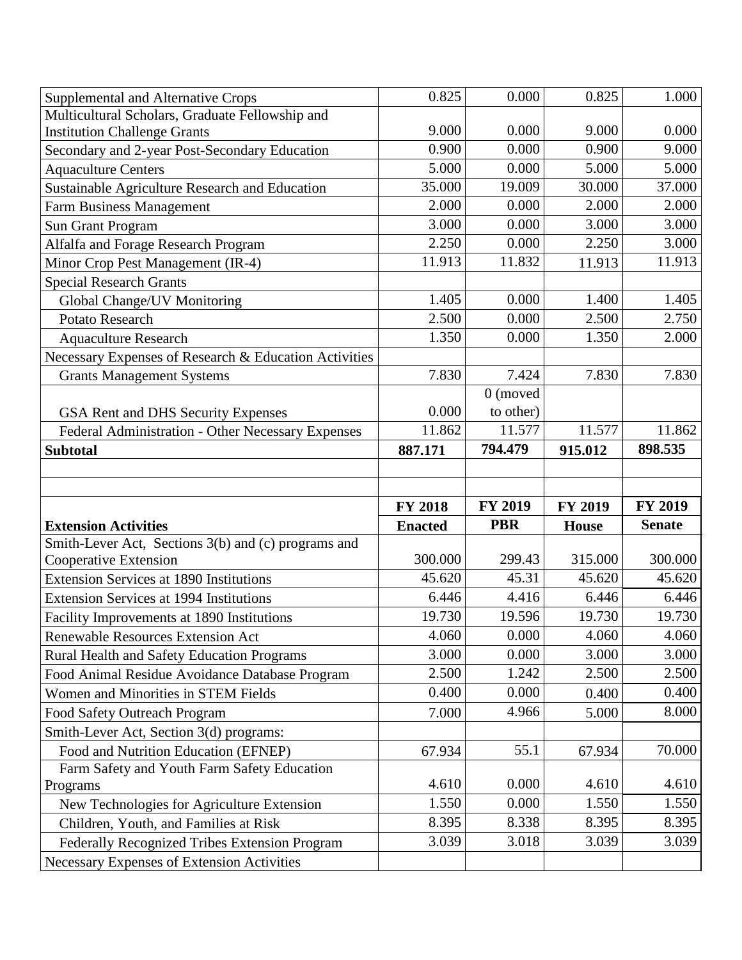| <b>Supplemental and Alternative Crops</b>               | 0.825          | 0.000          | 0.825        | 1.000          |
|---------------------------------------------------------|----------------|----------------|--------------|----------------|
| Multicultural Scholars, Graduate Fellowship and         |                |                |              |                |
| <b>Institution Challenge Grants</b>                     | 9.000          | 0.000          | 9.000        | 0.000          |
| Secondary and 2-year Post-Secondary Education           | 0.900          | 0.000          | 0.900        | 9.000          |
| <b>Aquaculture Centers</b>                              | 5.000          | 0.000          | 5.000        | 5.000          |
| Sustainable Agriculture Research and Education          | 35.000         | 19.009         | 30.000       | 37.000         |
| <b>Farm Business Management</b>                         | 2.000          | 0.000          | 2.000        | 2.000          |
| Sun Grant Program                                       | 3.000          | 0.000          | 3.000        | 3.000          |
| Alfalfa and Forage Research Program                     | 2.250          | 0.000          | 2.250        | 3.000          |
| Minor Crop Pest Management (IR-4)                       | 11.913         | 11.832         | 11.913       | 11.913         |
| <b>Special Research Grants</b>                          |                |                |              |                |
| Global Change/UV Monitoring                             | 1.405          | 0.000          | 1.400        | 1.405          |
| Potato Research                                         | 2.500          | 0.000          | 2.500        | 2.750          |
| <b>Aquaculture Research</b>                             | 1.350          | 0.000          | 1.350        | 2.000          |
| Necessary Expenses of Research & Education Activities   |                |                |              |                |
| <b>Grants Management Systems</b>                        | 7.830          | 7.424          | 7.830        | 7.830          |
|                                                         |                | $0$ (moved     |              |                |
| GSA Rent and DHS Security Expenses                      | 0.000          | to other)      |              |                |
| Federal Administration - Other Necessary Expenses       | 11.862         | 11.577         | 11.577       | 11.862         |
| <b>Subtotal</b>                                         | 887.171        | 794.479        | 915.012      | 898.535        |
|                                                         |                |                |              |                |
|                                                         |                |                |              |                |
|                                                         |                |                |              |                |
|                                                         | <b>FY 2018</b> | <b>FY 2019</b> | FY 2019      | <b>FY 2019</b> |
| <b>Extension Activities</b>                             | <b>Enacted</b> | <b>PBR</b>     | <b>House</b> | <b>Senate</b>  |
| Smith-Lever Act, Sections 3(b) and (c) programs and     |                |                |              |                |
| Cooperative Extension                                   | 300.000        | 299.43         | 315.000      | 300.000        |
| <b>Extension Services at 1890 Institutions</b>          | 45.620         | 45.31          | 45.620       | 45.620         |
| <b>Extension Services at 1994 Institutions</b>          | 6.446          | 4.416          | 6.446        | 6.446          |
| Facility Improvements at 1890 Institutions              | 19.730         | 19.596         | 19.730       | 19.730         |
| Renewable Resources Extension Act                       | 4.060          | 0.000          | 4.060        | 4.060          |
| <b>Rural Health and Safety Education Programs</b>       | 3.000          | 0.000          | 3.000        | 3.000          |
| Food Animal Residue Avoidance Database Program          | 2.500          | 1.242          | 2.500        | 2.500          |
| <b>Women and Minorities in STEM Fields</b>              | 0.400          | 0.000          | 0.400        | 0.400          |
| Food Safety Outreach Program                            | 7.000          | 4.966          | 5.000        | 8.000          |
|                                                         |                |                |              |                |
| Smith-Lever Act, Section 3(d) programs:                 |                | 55.1           |              | 70.000         |
| Food and Nutrition Education (EFNEP)                    | 67.934         |                | 67.934       |                |
| Farm Safety and Youth Farm Safety Education<br>Programs | 4.610          | 0.000          | 4.610        | 4.610          |
| New Technologies for Agriculture Extension              | 1.550          | 0.000          | 1.550        | 1.550          |
| Children, Youth, and Families at Risk                   | 8.395          | 8.338          | 8.395        | 8.395          |
| Federally Recognized Tribes Extension Program           | 3.039          | 3.018          | 3.039        | 3.039          |